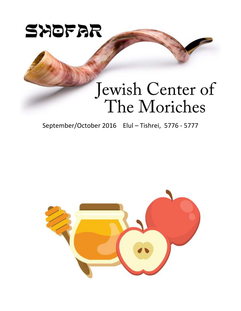

# Jewish Center of The Moriches

September/October 2016 Elul – Tishrei, 5776 - 5777

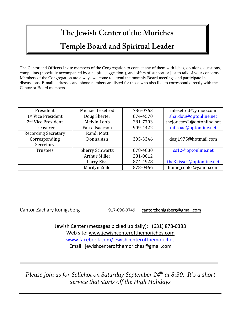## **The Jewish Center of the Moriches Temple Board and Spiritual Leader**

The Cantor and Officers invite members of the Congregation to contact any of them with ideas, opinions, questions, complaints (hopefully accompanied by a helpful suggestion!), and offers of support or just to talk of your concerns. Members of the Congregation are always welcome to attend the monthly Board meetings and participate in discussions. E-mail addresses and phone numbers are listed for those who also like to correspond directly with the Cantor or Board members.

| President                      | Michael Leselrod       | 786-0763 | mleselrod@yahoo.com       |
|--------------------------------|------------------------|----------|---------------------------|
| 1st Vice President             | Doug Sherter           | 874-4570 | shardou@optonline.net     |
| 2 <sup>nd</sup> Vice President | Melvin Lobb            | 281-7703 | thejoneses2@optonline.net |
| Treasurer                      | Farra Isaacson         | 909-4422 | mfisaac@optonline.net     |
| <b>Recording Secretary</b>     | Randi Mott             |          |                           |
| Corresponding                  | Donna Ash              | 395-3346 | desj1975@hotmail.com      |
| Secretary                      |                        |          |                           |
| <b>Trustees</b>                | <b>Sherry Schwartz</b> | 878-4880 | ss12@optonline.net        |
|                                | <b>Arthur Miller</b>   | 281-0012 |                           |
|                                | Larry Kiss             | 874-4928 | the3kisses@optonline.net  |
|                                | Marilyn Zoilo          | 878-0466 | home_cooks@yahoo.com      |

Cantor Zachary Konigsberg 17-696-0749 cantorzkonigsberg@gmail.com

Jewish Center (messages picked up daily): (631) 878-0388 Web site: www.jewishcenterofthemoriches.com www.facebook.com/jewishcenterofthemoriches Email: jewishcenterofthemoriches@gmail.com

*Please join us for Selichot on Saturday September 24 th at 8:30. It's a short service that starts off the High Holidays*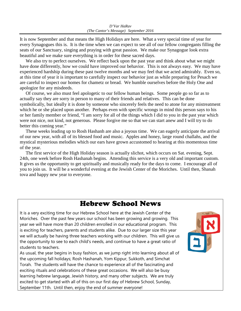It is now September and that means the High Holidays are here. What a very special time of year for every Synagogues this is. It is the time when we can expect to see all of our fellow congregants filling the seats of our Sanctuary, singing and praying with great passion. We make our Synagogue look extra beautiful and we make sure everything is in order for these sacred days.

We also try to perfect ourselves. We reflect back upon the past year and think about what we might have done differently, how we could have improved our behavior. This is not always easy. We may have experienced hardship during these past twelve months and we may feel that we acted admirably. Even so, at this time of year it is important to carefully inspect our behavior just as while preparing for Pesach we are careful to inspect our homes for chametz or bread. We humble ourselves before the Holy One and apologize for any misdeeds.

 Of course, we also must feel apologetic to our fellow human beings. Some people go so far as to actually say they are sorry in person to many of their friends and relatives. This can be done symbolically, but ideally it is done by someone who sincerely feels the need to atone for any mistreatment which he or she placed upon another. Perhaps even with specific wrongs in mind this person says to his or her family member or friend, "I am sorry for all of the things which I did to you in the past year which were not nice, not kind, not generous. Please forgive me so that we can start anew and I will try to do better this coming year."

 These weeks leading up to Rosh Hashanh are also a joyous time. We can eagerly anticipate the arrival of our new year, with all of its blessed food and music. Apples and honey, large round challahs, and the mystical mysterious melodies which our ears have grown accustomed to hearing at this momentous time of the year.

 The first service of the High Holiday season is actually slichot, which occurs on Sat. evening, Sept. 24th, one week before Rosh Hashanah begins. Attending this service is a very old and important custom. It gives us the opportunity to get spiritually and musically ready for the days to come. I encourage all of you to join us. It will be a wonderful evening at the Jewish Center of the Moriches. Until then, Shanah tova and happy new year to everyone.

### Hebrew School News

It is a very exciting time for our Hebrew School here at the Jewish Center of the Moriches. Over the past few years our school has been growing and growing. This year we will have more than 20 children enrolled in our educational program. This is exciting for teachers, parents and students alike. Due to our larger size this year we will actually be having three teachers working with our children. This will give us the opportunity to see to each child's needs, and continue to have a great ratio of students to teachers.

As usual, the year begins in busy fashion, as we jump right into learning about all of the upcoming fall holidays; Rosh Hashanah, Yom Kippur, Sukkoth, and Simchat Torah. The students will have the chance to experience all of the fascinating and exciting rituals and celebrations of these great occasions. We will also be busy learning hebrew language, Jewish history, and many other subjects. We are truly excited to get started with all of this on our first day of Hebrew School, Sunday, September 11th. Until then, enjoy the end of summer everyone!

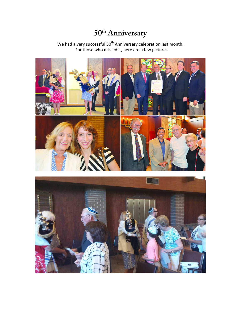## **50th Anniversary**

We had a very successful  $50<sup>th</sup>$  Anniversary celebration last month. For those who missed it, here are a few pictures.



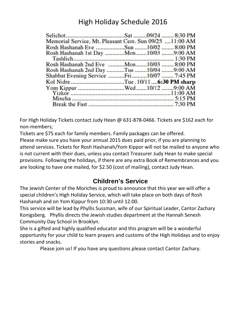## High Holiday Schedule 2016

| Memorial Service, Mt. Pleasant Cem. Sun 09/25 11:00 AM |  |  |
|--------------------------------------------------------|--|--|
|                                                        |  |  |
| Rosh Hashanah 1st Day  Mon 10/03 9:00 AM               |  |  |
|                                                        |  |  |
| Rosh Hashanah 2nd Eve Mon10/03  8:00 PM                |  |  |
| Rosh Hashanah 2nd Day Tue 10/04 9:00 AM                |  |  |
| Shabbat Evening Service Fri10/07  7:45 PM              |  |  |
|                                                        |  |  |
|                                                        |  |  |
|                                                        |  |  |
|                                                        |  |  |
|                                                        |  |  |

For High Holiday Tickets contact Judy Hean @ 631-878-0466. Tickets are \$162 each for non-members;

Tickets are \$75 each for family members. Family packages can be offered.

Please make sure you have your annual 2015 dues paid prior, if you are planning to attend services. Tickets for Rosh Hashanah/Yom Kippor will not be mailed to anyone who is not current with their dues, unless you contact Treasurer Judy Hean to make special provisions. Following the holidays, if there are any extra Book of Remembrances and you are looking to have one mailed, for \$2.50 (cost of mailing), contact Judy Hean.

### **Children's Service**

The Jewish Center of the Moriches is proud to announce that this year we will offer a special children's High Holiday Service, which will take place on both days of Rosh Hashanah and on Yom Kippur from 10:30 until 12:00.

This service will be lead by Phyllis Sussman, wife of our Spiritual Leader, Cantor Zachary Konigsberg. Phyllis directs the Jewish studies department at the Hannah Senesh Community Day School in Brooklyn.

She is a gifted and highly qualified educator and this program will be a wonderful opportunity for your child to learn prayers and customs of the High Holidays and to enjoy stories and snacks.

Please join us! If you have any questions please contact Cantor Zachary.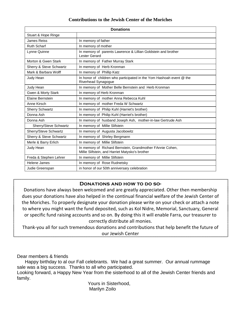#### **Contributions to the Jewish Center of the Moriches**

| <b>Donations</b>        |                                                                                                              |  |
|-------------------------|--------------------------------------------------------------------------------------------------------------|--|
| Stuart & Hope Ringe     |                                                                                                              |  |
| James Reiss             | In memory of father                                                                                          |  |
| <b>Ruth Scharf</b>      | In memory of mother                                                                                          |  |
| Lynne Quinne            | In memory of parents Lawrence & Lillian Goldstein and brother<br>Lester Gerard                               |  |
| Morton & Gwen Stark     | In memory of Father Murray Stark                                                                             |  |
| Sherry & Steve Schwartz | In memory of Herb Kronman                                                                                    |  |
| Mark & Barbara Wolff    | In memory of Phillip Katz                                                                                    |  |
| Judy Hean               | In honor of children who participated in the Yom Hashoah event @ the<br>Riverhead Synagogue                  |  |
| Judy Hean               | In memory of Mother Belle Bernstein and Herb Kronman                                                         |  |
| Gwen & Morty Stark      | In memory of Herb Kronman                                                                                    |  |
| Elaine Bernstein        | In memory of mother Anna Rebecca Kuhl                                                                        |  |
| Anne Kirsch             | In memory of mother Freda W Schwartz                                                                         |  |
| <b>Sherry Schwartz</b>  | In memory of Philip Kuhl (Harriet's brother)                                                                 |  |
| Donna Ash               | In memory of Philip Kuhl (Harriet's brother)                                                                 |  |
| Donna Ash               | In memory of husband Joseph Ash, mother-in-law Gertrude Ash                                                  |  |
| Sherry/Steve Schwartz   | In memory of Millie Slifstein                                                                                |  |
| Sherry/Steve Schwartz   | In memory of Augusta Jacobowitz                                                                              |  |
| Sherry & Steve Schwartz | In memory of Shirley Bergmann                                                                                |  |
| Merle & Barry Erlich    | In memory of Millie Slifstein                                                                                |  |
| Judy Hean               | In memory of Richard Bernstein, Grandmother FAnnie Cohen,<br>Millie Slifstein, and Harriet Matysko's brother |  |
| Freda & Stephen Lehrer  | In memory of Millie Slifstein                                                                                |  |
| Helene James            | In memory of Rose Rudnetsky                                                                                  |  |
| Judie Greenspan         | in honor of our 50th anniversary celebration                                                                 |  |

#### DONATIONS AND HOW TO DO SO-

Donations have always been welcomed and are greatly appreciated. Other then membership dues your donations have also helped in the continual financial welfare of the Jewish Center of the Moriches. To properly designate your donation please write on your check or attach a note to where you might want the fund deposited, such as Kol Nidre, Memorial, Sanctuary, General or specific fund raising accounts and so on. By doing this it will enable Farra, our treasurer to correctly distribute all monies.

Thank-you all for such tremendous donations and contributions that help benefit the future of our Jewish Center

Dear members & friends

 Happy birthday to al our Fall celebrants. We had a great summer. Our annual rummage sale was a big success. Thanks to all who participated.

Looking forward, a Happy New Year from the sisterhood to all of the Jewish Center friends and family.

 Yours in Sisterhood, Marilyn Zoilo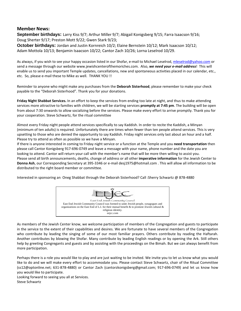#### **Member News:**

**September birthdays:** Larry Kiss 9/7; Arthur Miller 9/7; Abigail Konigsberg 9/15; Farra Isaacson 9/16; Doug Sherter 9/17; Preston Mott 9/22; Gwen Stark 9/23;

**October birthdays:** Jordan and Justin Kornreich 10/2; Elaine Bernstein 10/12; Mark Isaacson 10/12; Adam Mottola 10/13; Benjamin Isaacson 10/22; Cantor Zach 10/26; Lorna Leselrod 10/29.

As always, if you wish to see your happy occasion listed in our Shofar, e-mail to Michael Leselrod, mleselrod@yahoo.com or send a message through our website www.jewishcenterofthemoriches.com. Also, *we need your e-mail address*! This will enable us to send you important Temple updates, cancellations, new and spontaneous activities placed in our calendar, etc., etc. So, please e-mail these to Mike as well. THANK YOU !!

Reminder to anyone who might make any purchases from the **Deborah Sisterhood**, please remember to make your check payable to the "Deborah Sisterhood". Thank you for your donations.

**Friday Night Shabbat Services.** In an effort to keep the services from ending too late at night, and thus to make attending services more attractive to families with children, we will be starting services **promptly at 7:45 pm**. The building will be open from about 7:30 onwards to allow socializing before the services. Please make every effort to arrive promptly. Thank you for your cooperation. Steve Schwartz, for the ritual committee

Almost every Friday night people attend services specifically to say Kaddish. In order to recite the Kaddish, a Minyan (minimum of ten adults) is required. Unfortunately there are times when fewer than ten people attend services. This is very upsetting to those who are denied the opportunity to say Kaddish. Friday night services only last about an hour and a half. Please try to attend as often as possible so we have a Minyan.

If there is anyone interested in coming to Friday night service or a function at the Temple and you **need transportation** then please call Cantor Konigsberg 917-696-0749 and leave a message with your name, phone number and the date you are looking to attend. Cantor will return your call with the member's name that will be more then willing to assist you. Please send all birth announcements, deaths, change of address or all other **imperative information** for the Jewish Center to **Donna Ash**, our Corresponding Secretary at 395-3346 or e-mail desj1975@hotmail.com . This will allow all information to be distributed to the right board member or committee.

Interested in sponsoring an Oneg Shabbat through the Deborah Sisterhood? Call :Sherry Schwartz @ 878-4880



As members of the Jewish Center know, we welcome participation of members of the Congregation and guests to participate in the service to the extent of their capabilities and desires. We are fortunate to have several members of the Congregation who contribute by leading the singing of some of our most familiar prayers. Others contribute by reading the Haftarah. Another contributes by blowing the Shofar. Many contribute by leading English readings or by opening the Ark. Still others help by greeting Congregants and guests and by assisting with the proceedings on the Bimah. But we can always benefit from more participation.

Perhaps there is a role you would like to play and are just waiting to be invited. We invite you to let us know what you would like to do and we will make every effort to accommodate you. Please contact Steve Schwartz, chair of the Ritual Committee (ss12@optonline.net; 631-878-4880) or Cantor Zach (cantorzkonigsberg@gmail.com; 917-696-0749) and let us know how you would like to participate.

Looking forward to seeing you all at Services. Steve Schwartz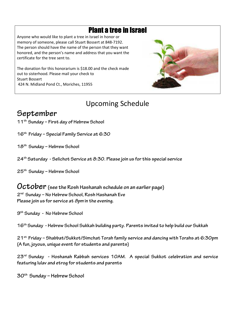## Plant a tree in Israel

Anyone who would like to plant a tree in Israel in honor or memory of someone, please call Stuart Bossert at 848-7192. The person should have the name of the person that they want honored, and the person's name and address that you want the certificate for the tree sent to.

The donation for this honorarium is \$18.00 and the check made out to sisterhood. Please mail your check to Stuart Bossert 424 N. Midland Pond Ct., Moriches, 11955



## Upcoming Schedule

## **September**

- **11th Sunday First day of Hebrew School**
- **16th Friday Special Family Service at 6:30**
- **18th Sunday Hebrew School**
- **24th Saturday Selichot Service at 8:30. Please join us for this special service**

**25th Sunday – Hebrew School** 

### **October (see the Rosh Hashanah schedule on an earlier page)**

**2 nd Sunday – No Hebrew School, Rosh Hashanah Eve**  Please join us for service at  $\beta$ *pm* in the evening.

**9 th Sunday - No Hebrew School** 

**16th Sunday - Hebrew School Sukkah building party. Parents invited to help build our Sukkah** 

**21st Friday – Shabbat/Sukkot/Simchat Torah family service and dancing with Torahs at 6:30pm (A fun, joyous, unique event for students and parents)** 

**23rd Sunday - Hoshanah Rabbah services 10AM. A special Sukkot celebration and service featuring lulav and etrog for students and parents** 

**30th Sunday – Hebrew School**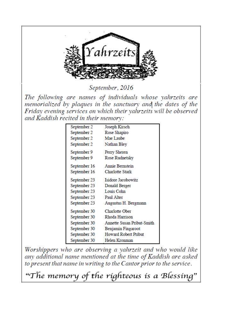

September, 2016

The following are names of individuals whose vahrzeits are memorialized by plaques in the sanctuary and the dates of the Friday evening services on which their yahrzeits will be observed and Kaddish recited in their memory:

| September 2  | Joseph Kirsch              |
|--------------|----------------------------|
| September 2  | Rose Shapiro               |
| September 2  | Mae Laube                  |
| September 2  | Nathan Bley                |
| September 9  | Perry Sheren               |
| September 9  | Rose Rudnetsky             |
| September 16 | Annie Bernstein            |
| September 16 | Charlotte Stark            |
| September 23 | Isidore Jacobowitz         |
| September 23 | Donald Berger              |
| September 23 | Louis Cohn                 |
| September 23 | Paul Alter                 |
| September 23 | Augustus H. Bergmann       |
| September 30 | Charlotte Ober             |
| September 30 | Rhoda Harrison             |
| September 30 | Annette Susan Pribut-Smith |
| September 30 | Benjamin Fingaroot         |
| September 30 | Howard Robert Pribut       |
| September 30 | Helen Kronman              |

Worshippers who are observing a yahrzeit and who would like any additional name mentioned at the time of Kaddish are asked to present that name in writing to the Cantor prior to the service.

"The memory of the righteous is a Blessing"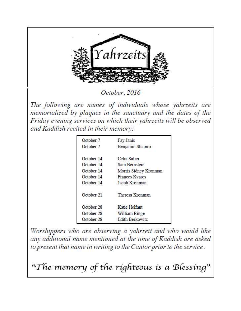

October, 2016

The following are names of individuals whose vahrzeits are memorialized by plaques in the sanctuary and the dates of the Friday evening services on which their yahrzeits will be observed and Kaddish recited in their memory:

| October 7  | Fay Janis             |
|------------|-----------------------|
| October 7  | Benjamin Shapiro      |
| October 14 | Celia Safier          |
| October 14 | Sam Bernstein         |
| October 14 | Morris Sidney Kronman |
| October 14 | <b>Frances Kvares</b> |
| October 14 | Jacob Kronman         |
| October 21 | Theresa Kronman       |
| October 28 | Katie Helfant         |
| October 28 | William Ringe         |
| October 28 | Edith Berkowitz       |

Worshippers who are observing a yahrzeit and who would like any additional name mentioned at the time of Kaddish are asked to present that name in writing to the Cantor prior to the service.

"The memory of the righteous is a Blessing"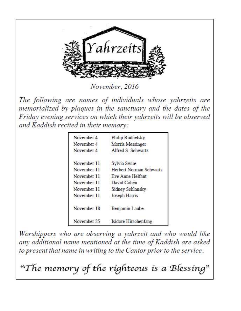

November, 2016

The following are names of individuals whose yahrzeits are memorialized by plaques in the sanctuary and the dates of the Friday evening services on which their yahrzeits will be observed and Kaddish recited in their memory:

| November 4  | Philip Rudnetsky        |
|-------------|-------------------------|
| November 4  | Morris Messinger        |
| November 4  | Alfred S. Schwartz      |
| November 11 | Sylvia Swire            |
| November 11 | Herbert Norman Schwartz |
| November 11 | Eve Anne Helfant        |
| November 11 | David Cohen             |
| November 11 | Sidney Schlansky        |
| November 11 | Joseph Harris           |
| November 18 | Benjamin Laube          |
| November 25 | Isidore Hirschenfang    |

Worshippers who are observing a yahrzeit and who would like any additional name mentioned at the time of Kaddish are asked to present that name in writing to the Cantor prior to the service.

"The memory of the ríghteous is a Blessing"